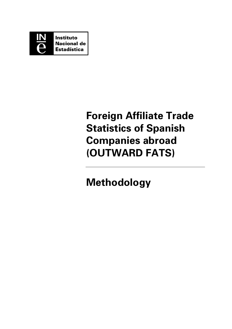

# **Foreign Affiliate Trade Statistics of Spanish Companies abroad (OUTWARD FATS)**

# **Methodology**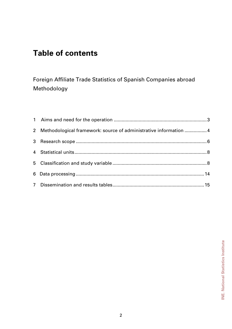## **Table of contents**

Foreign Affiliate Trade Statistics of Spanish Companies abroad Methodology

| 2 Methodological framework: source of administrative information  4 |  |
|---------------------------------------------------------------------|--|
|                                                                     |  |
|                                                                     |  |
|                                                                     |  |
|                                                                     |  |
|                                                                     |  |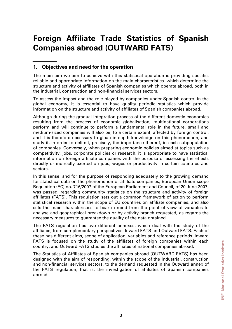## **Foreign Affiliate Trade Statistics of Spanish Companies abroad (OUTWARD FATS)**

## **1. Objectives and need for the operation**

The main aim we aim to achieve with this statistical operation is providing specific, reliable and appropriate information on the main characteristics which determine the structure and activity of affiliates of Spanish companies which operate abroad, both in the industrial, construction and non-financial services sectors.

To assess the impact and the role played by companies under Spanish control in the global economy, it is essential to have quality periodic statistics which provide information on the structure and activity of affiliates of Spanish companies abroad.

Although during the gradual integration process of the different domestic economies resulting from the process of economic globalisation, multinational corporations perform and will continue to perform a fundamental role in the future, small and medium-sized companies will also be, to a certain extent, affected by foreign control, and it is therefore necessary to glean in-depth knowledge on this phenomenon, and study it, in order to delimit, precisely, the importance thereof, in each subpopulation of companies. Conversely, when preparing economic policies aimed at topics such as competitivity, jobs, corporate policies or research, it is appropriate to have statistical information on foreign affiliate companies with the purpose of assessing the effects directly or indirectly exerted on jobs, wages or productivity in certain countries and sectors.

In this sense, and for the purpose of responding adequately to the growing demand for statistical data on the phenomenon of affiliate companies, European Union scope Regulation (EC) no. 716/2007 of the European Parliament and Council, of 20 June 2007, was passed, regarding community statistics on the structure and activity of foreign affiliates (FATS). This regulation sets out a common framework of action to perform statistical research within the scope of EU countries on affiliate companies, and also sets the main characteristics to bear in mind from the point of view of variables to analyse and geographical breakdown or by activity branch requested, as regards the necessary measures to guarantee the quality of the data obtained.

The FATS regulation has two different annexes, which deal with the study of the affiliates, from complementary perspectives: Inward FATS and Outward FATS. Each of these has different aims, scope of application, variables and reference periods. Inward FATS is focused on the study of the affiliates of foreign companies within each country, and Outward FATS studies the affiliates of national companies abroad.

The Statistics of Affiliates of Spanish companies abroad (OUTWARD FATS) has been designed with the aim of responding, within the scope of the industrial, construction and non-financial services sectors, to the demand requested in the Outward annex of the FATS regulation, that is, the investigation of affiliates of Spanish companies abroad.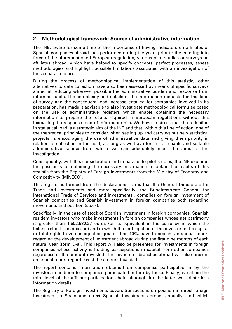## **2 Methodological framework: Source of administrative information**

The INE, aware for some time of the importance of having indicators on affiliates of Spanish companies abroad, has performed during the years prior to the entering into force of the aforementioned European regulation, various pilot studies or surveys on affiliates abroad, which have helped to specify concepts, perfect processes, assess methodologies and highlight possible limitations associated with an investigation of these characteristics.

During the process of methodological implementation of this statistic, other alternatives to data collection have also been assessed by means of specific surveys aimed at reducing wherever possible the administrative burden and response from informant units. The complexity and details of the information requested in this kind of survey and the consequent load increase entailed for companies involved in its preparation, has made it advisable to also investigate methodological formulae based on the use of administrative registers which enable obtaining the necessary information to prepare the results required in European regulations without this increasing the response load of informant units. We have to stress that the reduction in statistical load is a strategic aim of the INE and that, within this line of action, one of the theoretical principles to consider when setting up and carrying out new statistical projects, is encouraging the use of administrative data and giving them priority in relation to collection in the field, as long as we have for this a reliable and suitable administrative source from which we can adequately meet the aims of the investigation.

Consequently, with this consideration and in parallel to pilot studies, the INE explored the possibility of obtaining the necessary information to obtain the results of this statistic from the Registry of Foreign Investments from the Ministry of Economy and Competitivity (MINECO).

This register is formed from the declarations forms that the General Directorate for Trade and Investments and more specifically, the Subdirectorate General for International Trade of Services and Investments , compiles on foreign investment of Spanish companies and Spanish investment in foreign companies both regarding movements and position (stock).

Specifically, in the case of stock of Spanish investment in foreign companies, Spanish resident investors who make investments in foreign companies whose net patrimony is greater than 1,502,530.27 euros (or its equivalent in the currency in which the balance sheet is expressed) and in which the participation of the investor in the capital or total rights to vote is equal or greater than 10%, have to present an annual report regarding the development of investment abroad during the first nine months of each natural year (form D-8). This report will also be presented for investments in foreign companies whose activity is holding participations in capital from other companies regardless of the amount invested. The owners of branches abroad will also present an annual report regardless of the amount invested.

The report contains information obtained on companies participated in by the investor, in addition to companies participated in turn by these. Finally, we attain the third level of the affiliate participation chain although for the latter we collate less information details.

The Registry of Foreign Investments covers transactions on position in direct foreign investment in Spain and direct Spanish investment abroad, annually, and which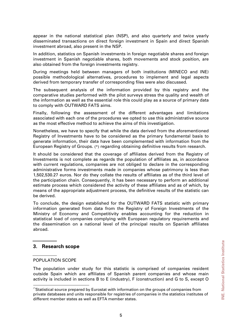appear in the national statistical plan (NSP), and also quarterly and twice yearly disseminated transactions on direct foreign investment in Spain and direct Spanish investment abroad, also present in the NSP.

In addition, statistics on Spanish investments in foreign negotiable shares and foreign investment in Spanish negotiable shares, both movements and stock position, are also obtained from the foreign investments registry.

During meetings held between managers of both institutions (MINECO and INE) possible methodological alternatives, procedures to implement and legal aspects derived from temporary transfer of corresponding files were also discussed.

The subsequent analysis of the information provided by this registry and the comparative studies performed with the pilot surveys stress the quality and wealth of the information as well as the essential role this could play as a source of primary data to comply with OUTWARD FATS aims.

Finally, following the assessment of the different advantages and limitations associated with each one of the procedures we opted to use this administrative source as the most effective method to achieve the aims of this investigation.

Nonetheless, we have to specify that while the data derived from the aforementioned Registry of Investments have to be considered as the primary fundamental basis to generate information, their data have been complemented with information from the European Registry of Groups. [\(\\*\)](#page-4-0) regarding obtaining definitive results from research.

It should be considered that the coverage of affiliates derived from the Registry of Investments is not complete as regards the population of affiliates as, in accordance with current regulations, companies are not obliged to declare in the corresponding administrative forms investments made in companies whose patrimony is less than 1,502,530.27 euros. Nor do they collate the results of affiliates as of the third level of the participation chain. Consequently, it has been necessary to perform an additional estimate process which considered the activity of these affiliates and as of which, by means of the appropriate adjustment process, the definitive results of the statistic can be derived.

To conclude, the design established for the OUTWARD FATS statistic with primary information generated from data from the Registry of Foreign Investments of the Ministry of Economy and Competitivity enables accounting for the reduction in statistical load of companies complying with European regulatory requirements and the dissemination on a national level of the principal results on Spanish affiliates abroad.

## **3. Research scope**

#### POPULATION SCOPE

1

The population under study for this statistic is comprised of companies resident outside Spain which are affiliates of Spanish parent companies and whose main activity is included in sections B to E (industry), F (construction) and G to S, except O

<span id="page-4-0"></span><sup>(\*)</sup>Statistical source prepared by Eurostat with information on the groups of companies from private databases and units responsible for registries of companies in the statistics institutes of different member states as well as EFTA member states.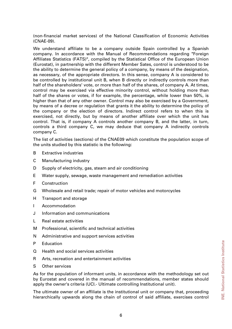(non-financial market services) of the National Classification of Economic Activities (CNAE-09).

We understand affiliate to be a company outside Spain controlled by a Spanish company. In accordance with the Manual of Recommendations regarding "Foreign Affiliates Statistics (FATS)", compiled by the Statistical Office of the European Union (Eurostat), in partnership with the different Member Sates, control is understood to be the ability to determine the general policy of a company, by means of the designation, as necessary, of the appropriate directors. In this sense, company A is considered to be controlled by institutional unit B, when B directly or indirectly controls more than half of the shareholders' vote, or more than half of the shares, of company A. At times, control may be exercised via effective minority control, without holding more than half of the shares or votes, if for example, the percentage, while lower than 50%, is higher than that of any other owner. Control may also be exercised by a Government, by means of a decree or regulation that grants it the ability to determine the policy of the company or the election of directors. Indirect control refers to when this is exercised, not directly, but by means of another affiliate over which the unit has control. That is, if company A controls another company B, and the latter, in turn, controls a third company C, we may deduce that company A indirectly controls company C.

The list of activities (sections) of the CNAE09 which constitute the population scope of the units studied by this statistic is the following:

- B Extractive industries
- C Manufacturing industry
- D Supply of electricity, gas, steam and air conditioning
- E Water supply, sewage, waste management and remediation activities
- F Construction
- G Wholesale and retail trade; repair of motor vehicles and motorcycles
- H Transport and storage
- I Accommodation
- J Information and communications
- L Real estate activities
- M Professional, scientific and technical activities
- N Administrative and support services activities
- P Education
- Q Health and social services activities
- R Arts, recreation and entertainment activities
- S Other services

As for the population of informant units, in accordance with the methodology set out by Eurostat and covered in the manual of recommendations, member states should apply the owner's criteria (UCI.- Ultimate controlling Institutional unit).

The ultimate owner of an affiliate is the institutional unit or company that, proceeding hierarchically upwards along the chain of control of said affiliate, exercises control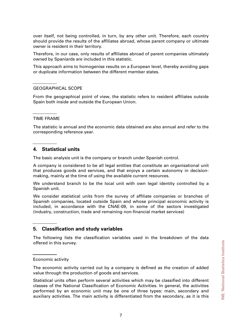over itself, not being controlled, in turn, by any other unit. Therefore, each country should provide the results of the affiliates abroad, whose parent company or ultimate owner is resident in their territory.

Therefore, in our case, only results of affiliates abroad of parent companies ultimately owned by Spaniards are included in this statistic.

This approach aims to homogenise results on a European level, thereby avoiding gaps or duplicate information between the different member states.

#### GEOGRAPHICAL SCOPE

From the geographical point of view, the statistic refers to resident affiliates outside Spain both inside and outside the European Union.

#### TIME FRAME

The statistic is annual and the economic data obtained are also annual and refer to the corresponding reference year.

#### **4. Statistical units**

The basic analysis unit is the company or branch under Spanish control.

A company is considered to be all legal entities that constitute an organisational unit that produces goods and services, and that enjoys a certain autonomy in decisionmaking, mainly at the time of using the available current resources.

We understand branch to be the local unit with own legal identity controlled by a Spanish unit.

We consider statistical units from the survey of affiliate companies or branches of Spanish companies, located outside Spain and whose principal economic activity is included, in accordance with the CNAE-09, in some of the sectors investigated (industry, construction, trade and remaining non-financial market services)

### **5. Classification and study variables**

The following lists the classification variables used in the breakdown of the data offered in this survey.

#### Economic activity

The economic activity carried out by a company is defined as the creation of added value through the production of goods and services.

Statistical units often perform several activities which may be classified into different classes of the National Classification of Economic Activities. In general, the activities performed by an economic unit may be one of three types: main, secondary and auxiliary activities. The main activity is differentiated from the secondary, as it is this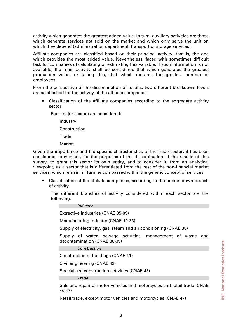activity which generates the greatest added value. In turn, auxiliary activities are those which generate services not sold on the market and which only serve the unit on which they depend (administration department, transport or storage services).

Affiliate companies are classified based on their principal activity, that is, the one which provides the most added value. Nevertheless, faced with sometimes difficult task for companies of calculating or estimating this variable, if such information is not available, the main activity shall be considered that which generates the greatest production value, or failing this, that which requires the greatest number of employees.

From the perspective of the dissemination of results, two different breakdown levels are established for the activity of the affiliate companies:

 Classification of the affiliate companies according to the aggregate activity sector.

Four major sectors are considered:

Industry

**Construction** 

**Trade** 

Market

Given the importance and the specific characteristics of the trade sector, it has been considered convenient, for the purposes of the dissemination of the results of this survey, to grant this sector its own entity, and to consider it, from an analytical viewpoint, as a sector that is differentiated from the rest of the non-financial market services, which remain, in turn, encompassed within the generic concept of services.

 Classification of the affiliate companies, according to the broken down branch of activity.

The different branches of activity considered within each sector are the following:

*Industry* 

Extractive industries (CNAE 05-09)

Manufacturing industry (CNAE 10-33)

Supply of electricity, gas, steam and air conditioning (CNAE 35)

Supply of water, sewage activities, management of waste and decontamination (CNAE 36-39)

*Construction* 

Construction of buildings (CNAE 41)

Civil engineering (CNAE 42)

Specialised construction activities (CNAE 43)

*Trade* 

Sale and repair of motor vehicles and motorcycles and retail trade (CNAE 46,47)

Retail trade, except motor vehicles and motorcycles (CNAE 47)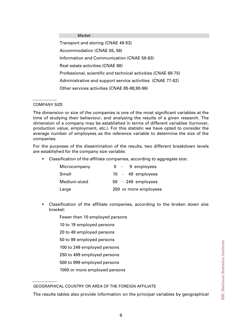#### *Market*

Transport and storing (CNAE 49-53) Accommodation (CNAE 55, 56) Information and Communication (CNAE 58-63) Real estate activities (CNAE 68) Professional, scientific and technical activities (CNAE 69-75) Administrative and support service activities (CNAE 77-82) Other services activities (CNAE 85-88,90-96)

#### COMPANY SIZE

The dimension or size of the companies is one of the most significant variables at the time of studying their behaviour, and analysing the results of a given research. The dimension of a company may be established in terms of different variables (turnover, production value, employment, etc.). For this statistic we have opted to consider the average number of employees as the reference variable to determine the size of the companies.

For the purposes of the dissemination of the results, two different breakdown levels are established for the company size variable:

Classification of the affiliate companies, according to aggregate size:

| Microcompany | 0 - 9 employees       |
|--------------|-----------------------|
| Small        | 10 - 49 employees     |
| Medium-sized | 50 - 249 employees    |
| Large        | 250 or more employees |

- Classification of the affiliate companies, according to the broken down size bracket:
	- Fewer than 10 employed persons
	- 10 to 19 employed persons
	- 20 to 49 employed persons
	- 50 to 99 employed persons
	- 100 to 249 employed persons
	- 250 to 499 employed persons
	- 500 to 999 employed persons
	- 1000 or more employed persons

GEOGRAPHICAL COUNTRY OR AREA OF THE FOREIGN AFFILIATE

The results tables also provide information on the principal variables by geographical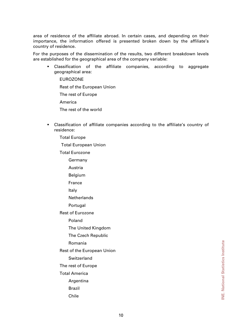area of residence of the affiliate abroad. In certain cases, and depending on their importance, the information offered is presented broken down by the affiliate's country of residence.

For the purposes of the dissemination of the results, two different breakdown levels are established for the geographical area of the company variable:

 Classification of the affiliate companies, according to aggregate geographical area:

EUROZONE

Rest of the European Union

The rest of Europe

America

The rest of the world

- Classification of affiliate companies according to the affiliate's country of residence:
	- Total Europe

Total European Union

Total Eurozone

- Germany
- Austria

Belgium

France

Italy

**Netherlands** 

Portugal

Rest of Eurozone

Poland

The United Kingdom

The Czech Republic

Romania

Rest of the European Union

Switzerland

The rest of Europe

Total America

Argentina

- Brazil
- Chile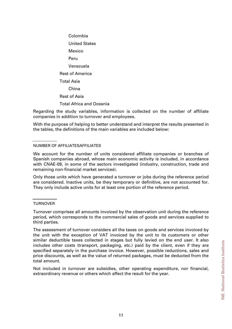Colombia United States Mexico Peru Venezuela Rest of America Total Asia China Rest of Asia Total Africa and Oceania

Regarding the study variables, information is collected on the number of affiliate companies in addition to turnover and employees.

With the purpose of helping to better understand and interpret the results presented in the tables, the definitions of the main variables are included below:

#### NUMBER OF AFFILIATESAFFILIATES

We account for the number of units considered affiliate companies or branches of Spanish companies abroad, whose main economic activity is included, in accordance with CNAE-09, in some of the sectors investigated (industry, construction, trade and remaining non-financial market services).

Only those units which have generated a turnover or jobs during the reference period are considered. Inactive units, be they temporary or definitive, are not accounted for. They only include active units for at least one portion of the reference period.

#### **TURNOVER**

Turnover comprises all amounts invoiced by the observation unit during the reference period, which corresponds to the commercial sales of goods and services supplied to third parties.

The assessment of turnover considers all the taxes on goods and services invoiced by the unit with the exception of VAT invoiced by the unit to its customers or other similar deductible taxes collected in stages but fully levied on the end user. It also includes other costs (transport, packaging, etc.) paid by the client, even if they are specified separately in the purchase invoice. However, possible reductions, sales and price discounts, as well as the value of returned packages, must be deducted from the total amount.

Not included in turnover are subsidies, other operating expenditure, nor financial, extraordinary revenue or others which affect the result for the year.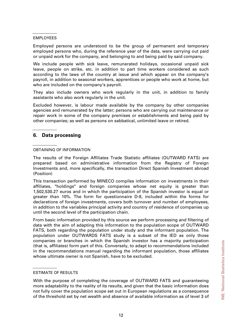#### EMPLOYEES

Employed persons are understood to be the group of permanent and temporary employed persons who, during the reference year of the data, were carrying out paid or unpaid work for the company, and belonging to and being paid by said company.

We include people with sick leave, remunerated holidays, occasional unpaid sick leave, people on strike, etc. in addition to part time workers considered as such according to the laws of the country at issue and which appear on the company's payroll, in addition to seasonal workers, apprentices or people who work at home, but who are included on the company's payroll.

They also include owners who work regularly in the unit, in addition to family assistants who also work regularly in the unit.

Excluded however, is labour made available by the company by other companies agencies and remunerated by the latter; persons who are carrying out maintenance or repair work in some of the company premises or establishments and being paid by other companies; as well as persons on sabbatical, unlimited leave or retired.

## **6. Data processing**

#### OBTAINING OF INFORMATION

The results of the Foreign Affiliates Trade Statistic affiliates (OUTWARD FATS) are prepared based on administrative information from the Registry of Foreign Investments and, more specifically, the transaction Direct Spanish Investment abroad (Position)

This transaction performed by MINECO compiles information on investments in their affiliates, "holdings" and foreign companies whose net equity is greater than 1,502,530.27 euros and in which the participation of the Spanish investor is equal or greater than 10%. The form for questionnaire D-8, included within the forms for declarations of foreign investments, covers both turnover and number of employees, in addition to the variables principal activity and country of residence of companies up until the second level of the participation chain.

From basic information provided by this source we perform processing and filtering of data with the aim of adapting this information to the population scope of OUTWARD FATS, both regarding the population under study and the informant population. The population under OUTWARDS FATS study is a subset of the IED as only those companies or branches in which the Spanish investor has a majority participation (that is, affiliates) form part of this. Conversely, to adapt to recommendations included in the recommendations manual regarding the informant population, those affiliates whose ultimate owner is not Spanish, have to be excluded.

#### ESTIMATE OF RESULTS

With the purpose of completing the coverage of OUTWARD FATS and guaranteeing more adaptability to the reality of its results, and given that the basic information does not fully cover the population scope set out in European regulations as a consequence of the threshold set by net wealth and absence of available information as of level 3 of